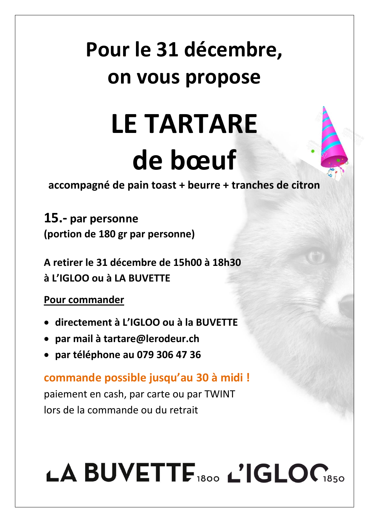### **Pour le 31 décembre, on vous propose**

## **LE TARTARE de bœuf**

**accompagné de pain toast + beurre + tranches de citron**

**15.- par personne (portion de 180 gr par personne)**

**A retirer le 31 décembre de 15h00 à 18h30 à L'IGLOO ou à LA BUVETTE**

**Pour commander**

- **directement à L'IGLOO ou à la BUVETTE**
- **par mail à tartare@lerodeur.ch**
- **par téléphone au 079 306 47 36**

**commande possible jusqu'au 30 à midi !**

paiement en cash, par carte ou par TWINT lors de la commande ou du retrait

# LA BUVETTE 1800 L'IGLOC1850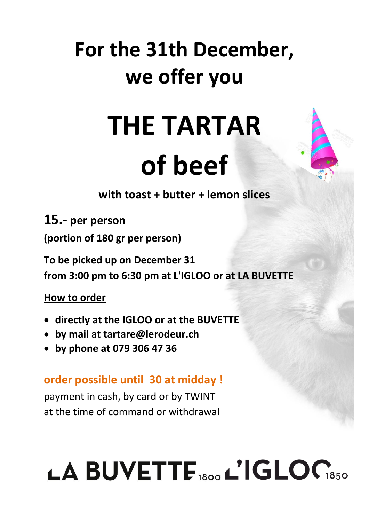### **For the 31th December, we offer you**

### **THE TARTAR of beef**

**with toast + butter + lemon slices**

**15.- per person**

**(portion of 180 gr per person)**

**To be picked up on December 31** 

**from 3:00 pm to 6:30 pm at L'IGLOO or at LA BUVETTE**

**How to order**

- **directly at the IGLOO or at the BUVETTE**
- **by mail at tartare@lerodeur.ch**
- **by phone at 079 306 47 36**

#### **order possible until 30 at midday !**

payment in cash, by card or by TWINT at the time of command or withdrawal

# LA BUVETTE 1800 L'IGLOC1850